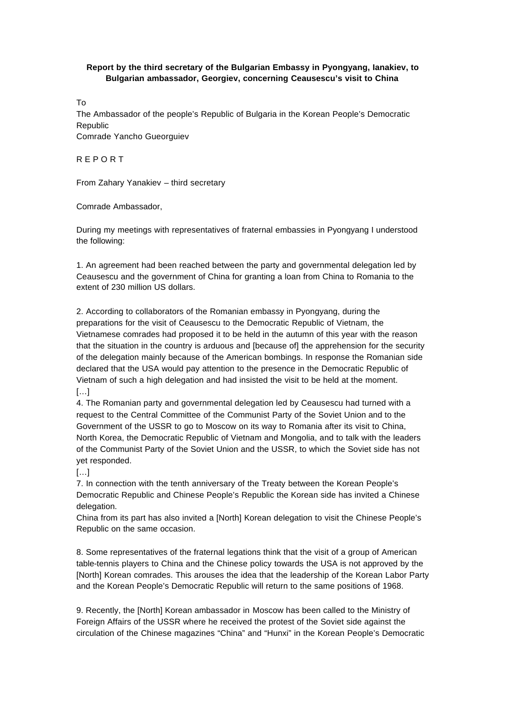## **Report by the third secretary of the Bulgarian Embassy in Pyongyang, Ianakiev, to Bulgarian ambassador, Georgiev, concerning Ceausescu's visit to China**

To

The Ambassador of the people's Republic of Bulgaria in the Korean People's Democratic Republic

Comrade Yancho Gueorguiev

R E P O R T

From Zahary Yanakiev – third secretary

Comrade Ambassador,

During my meetings with representatives of fraternal embassies in Pyongyang I understood the following:

1. An agreement had been reached between the party and governmental delegation led by Ceausescu and the government of China for granting a loan from China to Romania to the extent of 230 million US dollars.

2. According to collaborators of the Romanian embassy in Pyongyang, during the preparations for the visit of Ceausescu to the Democratic Republic of Vietnam, the Vietnamese comrades had proposed it to be held in the autumn of this year with the reason that the situation in the country is arduous and [because of] the apprehension for the security of the delegation mainly because of the American bombings. In response the Romanian side declared that the USA would pay attention to the presence in the Democratic Republic of Vietnam of such a high delegation and had insisted the visit to be held at the moment. […]

4. The Romanian party and governmental delegation led by Ceausescu had turned with a request to the Central Committee of the Communist Party of the Soviet Union and to the Government of the USSR to go to Moscow on its way to Romania after its visit to China, North Korea, the Democratic Republic of Vietnam and Mongolia, and to talk with the leaders of the Communist Party of the Soviet Union and the USSR, to which the Soviet side has not yet responded.

[…]

7. In connection with the tenth anniversary of the Treaty between the Korean People's Democratic Republic and Chinese People's Republic the Korean side has invited a Chinese delegation.

China from its part has also invited a [North] Korean delegation to visit the Chinese People's Republic on the same occasion.

8. Some representatives of the fraternal legations think that the visit of a group of American table-tennis players to China and the Chinese policy towards the USA is not approved by the [North] Korean comrades. This arouses the idea that the leadership of the Korean Labor Party and the Korean People's Democratic Republic will return to the same positions of 1968.

9. Recently, the [North] Korean ambassador in Moscow has been called to the Ministry of Foreign Affairs of the USSR where he received the protest of the Soviet side against the circulation of the Chinese magazines "China" and "Hunxi" in the Korean People's Democratic